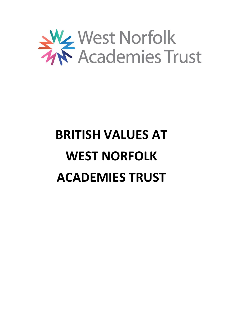

# **BRITISH VALUES AT WEST NORFOLK ACADEMIES TRUST**